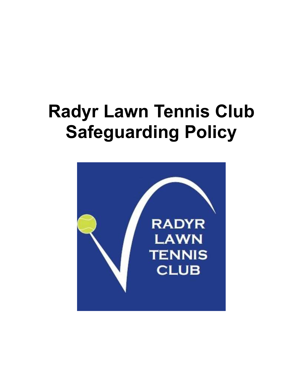# **Radyr Lawn Tennis Club Safeguarding Policy**

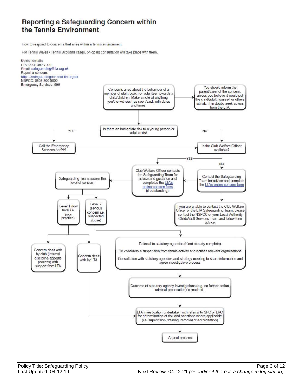### Reporting a Safeguarding Concern within the Tennis Environment

How to respond to concerns that arise within a tennis environment.

For Tennis Wales / Tennis Scotland cases, on-going consultation will take place with them.

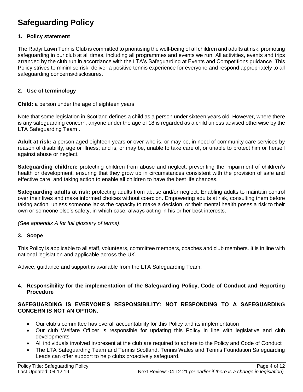## **Safeguarding Policy**

#### **1. Policy statement**

The Radyr Lawn Tennis Club is committed to prioritising the well-being of all children and adults at risk, promoting safeguarding in our club at all times, including all programmes and events we run. All activities, events and trips arranged by the club run in accordance with the LTA's Safeguarding at Events and Competitions guidance. This Policy strives to minimise risk, deliver a positive tennis experience for everyone and respond appropriately to all safeguarding concerns/disclosures.

#### **2. Use of terminology**

**Child:** a person under the age of eighteen years.

Note that some legislation in Scotland defines a child as a person under sixteen years old. However, where there is any safeguarding concern, anyone under the age of 18 is regarded as a child unless advised otherwise by the LTA Safeguarding Team .

**Adult at risk:** a person aged eighteen years or over who is, or may be, in need of community care services by reason of disability, age or illness; and is, or may be, unable to take care of, or unable to protect him or herself against abuse or neglect.

**Safeguarding children:** protecting children from abuse and neglect, preventing the impairment of children's health or development, ensuring that they grow up in circumstances consistent with the provision of safe and effective care, and taking action to enable all children to have the best life chances.

**Safeguarding adults at risk:** protecting adults from abuse and/or neglect. Enabling adults to maintain control over their lives and make informed choices without coercion. Empowering adults at risk, consulting them before taking action, unless someone lacks the capacity to make a decision, or their mental health poses a risk to their own or someone else's safety, in which case, always acting in his or her best interests.

*(See appendix A for full glossary of terms)*.

#### **3. Scope**

This Policy is applicable to all staff, volunteers, committee members, coaches and club members. It is in line with national legislation and applicable across the UK.

Advice, guidance and support is available from the LTA Safeguarding Team.

#### **4. Responsibility for the implementation of the Safeguarding Policy, Code of Conduct and Reporting Procedure**

#### **SAFEGUARDING IS EVERYONE'S RESPONSIBILITY: NOT RESPONDING TO A SAFEGUARDING CONCERN IS NOT AN OPTION.**

- Our club's committee has overall accountability for this Policy and its implementation
- Our club Welfare Officer is responsible for updating this Policy in line with legislative and club developments
- All individuals involved in/present at the club are required to adhere to the Policy and Code of Conduct
- The LTA Safeguarding Team and Tennis Scotland, Tennis Wales and Tennis Foundation Safeguarding Leads can offer support to help clubs proactively safeguard.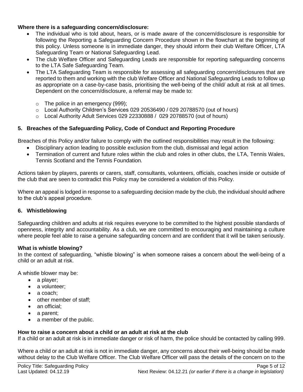#### **Where there is a safeguarding concern/disclosure:**

- The individual who is told about, hears, or is made aware of the concern/disclosure is responsible for following the Reporting a Safeguarding Concern Procedure shown in the flowchart at the beginning of this policy. Unless someone is in immediate danger, they should inform their club Welfare Officer, LTA Safeguarding Team or National Safeguarding Lead.
- The club Welfare Officer and Safeguarding Leads are responsible for reporting safeguarding concerns to the LTA Safe Safeguarding Team.
- The LTA Safeguarding Team is responsible for assessing all safeguarding concern/disclosures that are reported to them and working with the club Welfare Officer and National Safeguarding Leads to follow up as appropriate on a case-by-case basis, prioritising the well-being of the child/ adult at risk at all times. Dependent on the concern/disclosure, a referral may be made to:
	- o The police in an emergency (999);
	- $\circ$  Local Authority Children's Services 029 20536490 / 029 20788570 (out of hours)
	- $\circ$  Local Authority Adult Services 029 22330888 / 029 20788570 (out of hours)

#### **5. Breaches of the Safeguarding Policy, Code of Conduct and Reporting Procedure**

Breaches of this Policy and/or failure to comply with the outlined responsibilities may result in the following:

- Disciplinary action leading to possible exclusion from the club, dismissal and legal action
- Termination of current and future roles within the club and roles in other clubs, the LTA, Tennis Wales, Tennis Scotland and the Tennis Foundation*.*

Actions taken by players, parents or carers, staff, consultants, volunteers, officials, coaches inside or outside of the club that are seen to contradict this Policy may be considered a violation of this Policy.

Where an appeal is lodged in response to a safeguarding decision made by the club, the individual should adhere to the club's appeal procedure.

#### **6. Whistleblowing**

Safeguarding children and adults at risk requires everyone to be committed to the highest possible standards of openness, integrity and accountability. As a club, we are committed to encouraging and maintaining a culture where people feel able to raise a genuine safeguarding concern and are confident that it will be taken seriously.

#### **What is whistle blowing?**

In the context of safeguarding, "whistle blowing" is when someone raises a concern about the well-being of a child or an adult at risk.

A whistle blower may be:

- a player;
- a volunteer:
- a coach:
- other member of staff;
- an official;
- a parent;
- a member of the public.

#### **How to raise a concern about a child or an adult at risk at the club**

If a child or an adult at risk is in immediate danger or risk of harm, the police should be contacted by calling 999.

Where a child or an adult at risk is not in immediate danger, any concerns about their well-being should be made without delay to the Club Welfare Officer. The Club Welfare Officer will pass the details of the concern on to the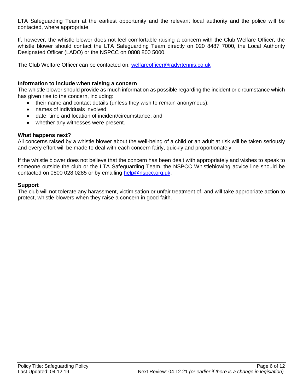LTA Safeguarding Team at the earliest opportunity and the relevant local authority and the police will be contacted, where appropriate.

If, however, the whistle blower does not feel comfortable raising a concern with the Club Welfare Officer, the whistle blower should contact the LTA Safeguarding Team directly on 020 8487 7000, the Local Authority Designated Officer (LADO) or the NSPCC on 0808 800 5000.

The Club Welfare Officer can be contacted on: [welfareofficer@radyrtennis.co.uk](mailto:welfareofficer@radyrtennis.co.uk)

#### **Information to include when raising a concern**

The whistle blower should provide as much information as possible regarding the incident or circumstance which has given rise to the concern, including:

- their name and contact details (unless they wish to remain anonymous);
- names of individuals involved;
- date, time and location of incident/circumstance; and
- whether any witnesses were present.

#### **What happens next?**

All concerns raised by a whistle blower about the well-being of a child or an adult at risk will be taken seriously and every effort will be made to deal with each concern fairly, quickly and proportionately.

If the whistle blower does not believe that the concern has been dealt with appropriately and wishes to speak to someone outside the club or the LTA Safeguarding Team, the NSPCC Whistleblowing advice line should be contacted on 0800 028 0285 or by emailing [help@nspcc.org.uk.](mailto:help@nspcc.org.uk)

#### **Support**

The club will not tolerate any harassment, victimisation or unfair treatment of, and will take appropriate action to protect, whistle blowers when they raise a concern in good faith.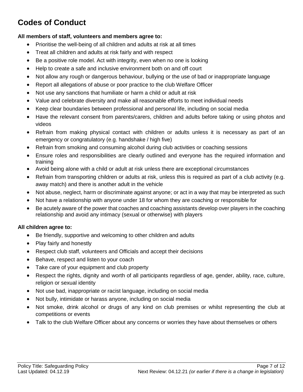# **Codes of Conduct**

#### **All members of staff, volunteers and members agree to:**

- Prioritise the well-being of all children and adults at risk at all times
- Treat all children and adults at risk fairly and with respect
- Be a positive role model. Act with integrity, even when no one is looking
- Help to create a safe and inclusive environment both on and off court
- Not allow any rough or dangerous behaviour, bullying or the use of bad or inappropriate language
- Report all allegations of abuse or poor practice to the club Welfare Officer
- Not use any sanctions that humiliate or harm a child or adult at risk
- Value and celebrate diversity and make all reasonable efforts to meet individual needs
- Keep clear boundaries between professional and personal life, including on social media
- Have the relevant consent from parents/carers, children and adults before taking or using photos and videos
- Refrain from making physical contact with children or adults unless it is necessary as part of an emergency or congratulatory (e.g. handshake / high five)
- Refrain from smoking and consuming alcohol during club activities or coaching sessions
- Ensure roles and responsibilities are clearly outlined and everyone has the required information and training
- Avoid being alone with a child or adult at risk unless there are exceptional circumstances
- Refrain from transporting children or adults at risk, unless this is required as part of a club activity (e.g. away match) and there is another adult in the vehicle
- Not abuse, neglect, harm or discriminate against anyone; or act in a way that may be interpreted as such
- Not have a relationship with anyone under 18 for whom they are coaching or responsible for
- Be acutely aware of the power that coaches and coaching assistants develop over players in the coaching relationship and avoid any intimacy (sexual or otherwise) with players

#### **All children agree to:**

- Be friendly, supportive and welcoming to other children and adults
- Play fairly and honestly
- Respect club staff, volunteers and Officials and accept their decisions
- Behave, respect and listen to your coach
- Take care of your equipment and club property
- Respect the rights, dignity and worth of all participants regardless of age, gender, ability, race, culture, religion or sexual identity
- Not use bad, inappropriate or racist language, including on social media
- Not bully, intimidate or harass anyone, including on social media
- Not smoke, drink alcohol or drugs of any kind on club premises or whilst representing the club at competitions or events
- Talk to the club Welfare Officer about any concerns or worries they have about themselves or others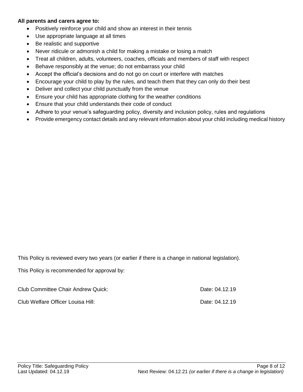#### **All parents and carers agree to:**

- Positively reinforce your child and show an interest in their tennis
- Use appropriate language at all times
- Be realistic and supportive
- Never ridicule or admonish a child for making a mistake or losing a match
- Treat all children, adults, volunteers, coaches, officials and members of staff with respect
- Behave responsibly at the venue; do not embarrass your child
- Accept the official's decisions and do not go on court or interfere with matches
- Encourage your child to play by the rules, and teach them that they can only do their best
- Deliver and collect your child punctually from the venue
- Ensure your child has appropriate clothing for the weather conditions
- Ensure that your child understands their code of conduct
- Adhere to your venue's safeguarding policy, diversity and inclusion policy, rules and regulations
- Provide emergency contact details and any relevant information about your child including medical history

This Policy is reviewed every two years (or earlier if there is a change in national legislation).

This Policy is recommended for approval by:

| Club Committee Chair Andrew Quick: | Date: 04.12.19 |
|------------------------------------|----------------|
| Club Welfare Officer Louisa Hill:  | Date: 04.12.19 |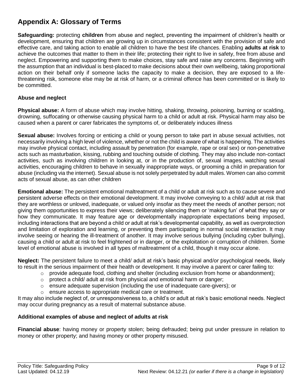## **Appendix A: Glossary of Terms**

**Safeguarding:** protecting **children** from abuse and neglect, preventing the impairment of children's health or development, ensuring that children are growing up in circumstances consistent with the provision of safe and effective care, and taking action to enable all children to have the best life chances. Enabling **adults at risk** to achieve the outcomes that matter to them in their life; protecting their right to live in safety, free from abuse and neglect. Empowering and supporting them to make choices, stay safe and raise any concerns. Beginning with the assumption that an individual is best-placed to make decisions about their own wellbeing, taking proportional action on their behalf only if someone lacks the capacity to make a decision, they are exposed to a lifethreatening risk, someone else may be at risk of harm, or a criminal offence has been committed or is likely to be committed.

#### **Abuse and neglect**

**Physical abuse:** A form of abuse which may involve hitting, shaking, throwing, poisoning, burning or scalding, drowning, suffocating or otherwise causing physical harm to a child or adult at risk. Physical harm may also be caused when a parent or carer fabricates the symptoms of, or deliberately induces illness

**Sexual abuse:** Involves forcing or enticing a child or young person to take part in abuse sexual activities, not necessarily involving a high level of violence, whether or not the child is aware of what is happening. The activities may involve physical contact, including assault by penetration (for example, rape or oral sex) or non-penetrative acts such as masturbation, kissing, rubbing and touching outside of clothing. They may also include non-contact activities, such as involving children in looking at, or in the production of, sexual images, watching sexual activities, encouraging children to behave in sexually inappropriate ways, or grooming a child in preparation for abuse (including via the internet). Sexual abuse is not solely perpetrated by adult males. Women can also commit acts of sexual abuse, as can other children

**Emotional abuse:** The persistent emotional maltreatment of a child or adult at risk such as to cause severe and persistent adverse effects on their emotional development. It may involve conveying to a child/ adult at risk that they are worthless or unloved, inadequate, or valued only insofar as they meet the needs of another person; not giving them opportunities to express their views; deliberately silencing them or 'making fun' of what they say or how they communicate. It may feature age or developmentally inappropriate expectations being imposed, including interactions that are beyond a child or adult at risk's developmental capability, as well as overprotection and limitation of exploration and learning, or preventing them participating in normal social interaction. It may involve seeing or hearing the ill-treatment of another. It may involve serious bullying (including cyber bullying), causing a child or adult at risk to feel frightened or in danger, or the exploitation or corruption of children. Some level of emotional abuse is involved in all types of maltreatment of a child, though it may occur alone.

**Neglect:** The persistent failure to meet a child/ adult at risk's basic physical and/or psychological needs, likely to result in the serious impairment of their health or development. It may involve a parent or carer failing to:

- $\circ$  provide adequate food, clothing and shelter (including exclusion from home or abandonment);
- $\circ$  protect a child/ adult at risk from physical and emotional harm or danger;
- o ensure adequate supervision (including the use of inadequate care-givers); or
- o ensure access to appropriate medical care or treatment.

It may also include neglect of, or unresponsiveness to, a child's or adult at risk's basic emotional needs. Neglect may occur during pregnancy as a result of maternal substance abuse.

#### **Additional examples of abuse and neglect of adults at risk**

**Financial abuse**: having money or property stolen; being defrauded; being put under pressure in relation to money or other property; and having money or other property misused.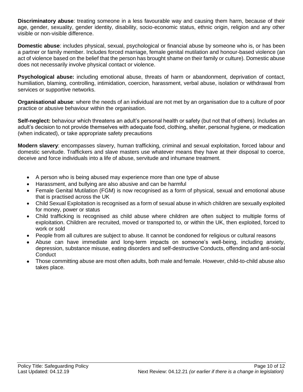**Discriminatory abuse**: treating someone in a less favourable way and causing them harm, because of their age, gender, sexuality, gender identity, disability, socio-economic status, ethnic origin, religion and any other visible or non-visible difference.

**Domestic abuse**: includes physical, sexual, psychological or financial abuse by someone who is, or has been a partner or family member. Includes forced marriage, female genital mutilation and honour-based violence (an act of violence based on the belief that the person has brought shame on their family or culture). Domestic abuse does not necessarily involve physical contact or violence.

**Psychological abuse:** including emotional abuse, threats of harm or abandonment, deprivation of contact, humiliation, blaming, controlling, intimidation, coercion, harassment, verbal abuse, isolation or withdrawal from services or supportive networks.

**Organisational abuse**: where the needs of an individual are not met by an organisation due to a culture of poor practice or abusive behaviour within the organisation.

**Self-neglect:** behaviour which threatens an adult's personal health or safety (but not that of others). Includes an adult's decision to not provide themselves with adequate food, clothing, shelter, personal hygiene, or medication (when indicated), or take appropriate safety precautions

**Modern slavery**: encompasses slavery, human trafficking, criminal and sexual exploitation, forced labour and domestic servitude. Traffickers and slave masters use whatever means they have at their disposal to coerce, deceive and force individuals into a life of abuse, servitude and inhumane treatment.

- A person who is being abused may experience more than one type of abuse
- Harassment, and bullying are also abusive and can be harmful
- Female Genital Mutilation (FGM) is now recognised as a form of physical, sexual and emotional abuse that is practised across the UK
- Child Sexual Exploitation is recognised as a form of sexual abuse in which children are sexually exploited for money, power or status
- Child trafficking is recognised as child abuse where children are often subject to multiple forms of exploitation. Children are recruited, moved or transported to, or within the UK, then exploited, forced to work or sold
- People from all cultures are subject to abuse. It cannot be condoned for religious or cultural reasons
- Abuse can have immediate and long-term impacts on someone's well-being, including anxiety, depression, substance misuse, eating disorders and self-destructive Conducts, offending and anti-social **Conduct**
- Those committing abuse are most often adults, both male and female. However, child-to-child abuse also takes place.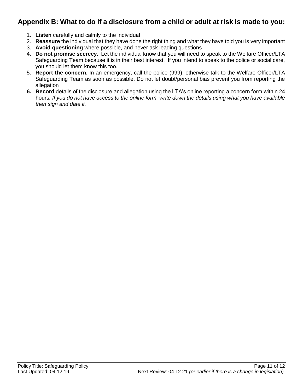## **Appendix B: What to do if a disclosure from a child or adult at risk is made to you:**

- 1. **Listen** carefully and calmly to the individual
- 2. **Reassure** the individual that they have done the right thing and what they have told you is very important
- 3. **Avoid questioning** where possible, and never ask leading questions
- 4. **Do not promise secrecy**. Let the individual know that you will need to speak to the Welfare Officer/LTA Safeguarding Team because it is in their best interest. If you intend to speak to the police or social care, you should let them know this too.
- 5. **Report the concern.** In an emergency, call the police (999), otherwise talk to the Welfare Officer/LTA Safeguarding Team as soon as possible. Do not let doubt/personal bias prevent you from reporting the allegation
- **6. Record** details of the disclosure and allegation using the LTA's online reporting a concern form within 24 hours*. If you do not have access to the online form, write down the details using what you have available then sign and date it.*